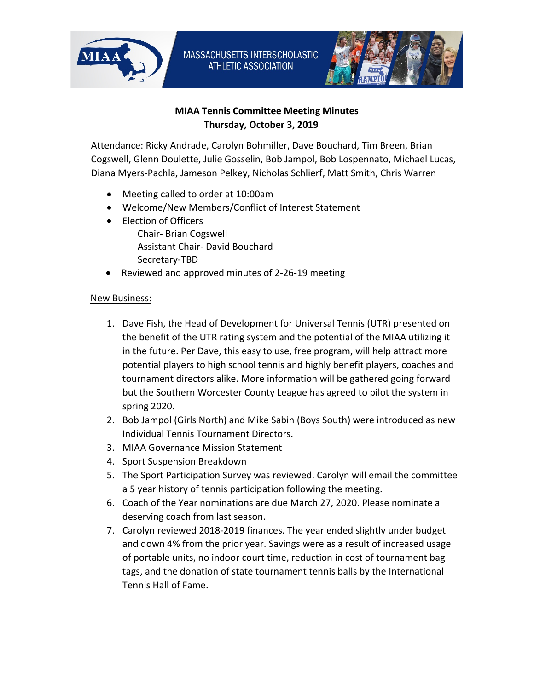



## **MIAA Tennis Committee Meeting Minutes Thursday, October 3, 2019**

Attendance: Ricky Andrade, Carolyn Bohmiller, Dave Bouchard, Tim Breen, Brian Cogswell, Glenn Doulette, Julie Gosselin, Bob Jampol, Bob Lospennato, Michael Lucas, Diana Myers-Pachla, Jameson Pelkey, Nicholas Schlierf, Matt Smith, Chris Warren

- Meeting called to order at 10:00am
- Welcome/New Members/Conflict of Interest Statement
- Election of Officers Chair- Brian Cogswell Assistant Chair- David Bouchard
	- Secretary-TBD
- Reviewed and approved minutes of 2-26-19 meeting

## New Business:

- 1. Dave Fish, the Head of Development for Universal Tennis (UTR) presented on the benefit of the UTR rating system and the potential of the MIAA utilizing it in the future. Per Dave, this easy to use, free program, will help attract more potential players to high school tennis and highly benefit players, coaches and tournament directors alike. More information will be gathered going forward but the Southern Worcester County League has agreed to pilot the system in spring 2020.
- 2. Bob Jampol (Girls North) and Mike Sabin (Boys South) were introduced as new Individual Tennis Tournament Directors.
- 3. MIAA Governance Mission Statement
- 4. Sport Suspension Breakdown
- 5. The Sport Participation Survey was reviewed. Carolyn will email the committee a 5 year history of tennis participation following the meeting.
- 6. Coach of the Year nominations are due March 27, 2020. Please nominate a deserving coach from last season.
- 7. Carolyn reviewed 2018-2019 finances. The year ended slightly under budget and down 4% from the prior year. Savings were as a result of increased usage of portable units, no indoor court time, reduction in cost of tournament bag tags, and the donation of state tournament tennis balls by the International Tennis Hall of Fame.